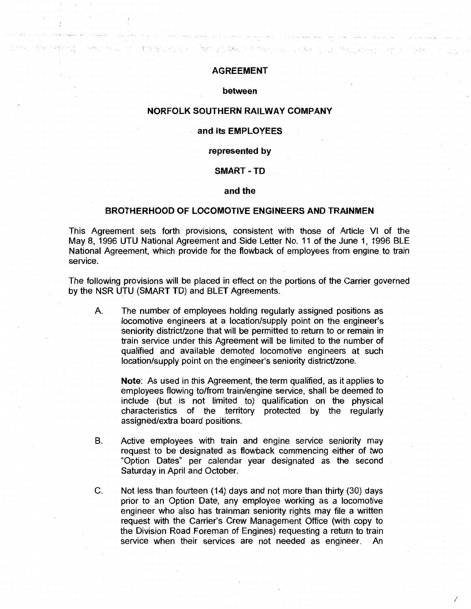# AGREEMENT

n a thogaidh

### between

## NORFOLK SOUTHERN RAILWAY COMPANY

## and its EMPLOYEES

#### represented by

#### SMART-TD

#### and the

### BROTHERHOOD OF LOCOMOTIVE ENGINEERS AND TRAINMEN

This Agreement sets forth provisions, consistent with those of Article VI of the May 8, 1996 UTU National Agreement and Side Letter No. 11 of the June 1, 1996 BLE National Agreement, which provide for the flowback of employees from engine to train service.

The following provisions will be placed in effect on the portions of the Carrier governed by the NSR UTU (SMART TD) and BLET Agreements.

A. The number of employees holding regularly assigned positions as locomotive engineers at a location/supply point on the engineer's seniority district/zone that will be permitted to return to or remain in train service under this Agreement will be limited to the number of qualified and available demoted locomotive engineers at such location/supply point on the engineer's seniority district/zone.

Note: As used in this Agreement, the term qualified, as it applies to employees flowing to/from train/engine service, shall be deemed to include (but is not limited to) qualification on the physical characteristics of the territory protected by the regularly assigned/extra board positions.

- B. Active employees with train and engine service seniority may request to be designated as flowback commencing either of two "Option Dates" per calendar year designated as the second Saturday in April and October.
- C. Not less than fourteen (14) days and not more than thirty (30) days prior to an Option Date, any employee working as a locomotive engineer who also has trainman seniority rights may file a written request with the Carrier's Crew Management Office (with copy to the Division Road Foreman of Engines) requesting a return to train service when their services are not needed as engineer. An

I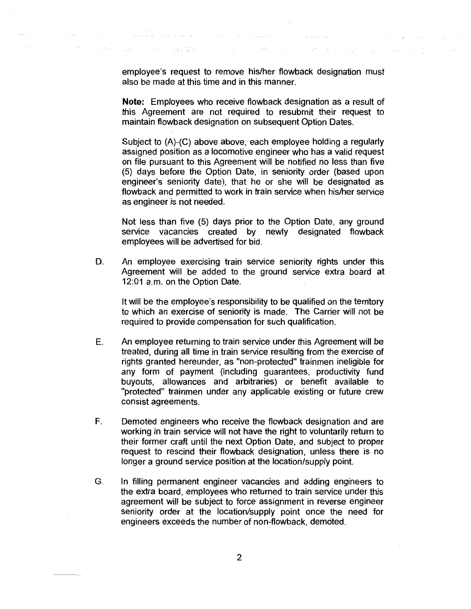employee's request to remove his/her flowback designation must also be made at this time and in this manner.

and the second process of the second second second second second second second second second second second second second second second second second second second second second second second second second second second sec

a a concert con

Sales States

Source of American State Communication

 $\Delta \sim 100$ 

Benefict Profile Settlement

**Contractor** 

**Note:** Employees who receive flowback designation as a result of this Agreement are not required to resubmit their request to maintain flowback designation on subsequent Option Dates.

Subject to (A)-(C) above above, each employee holding a regularly assigned position as a locomotive engineer who has a valid request on file pursuant to this Agreement will be notified no less than five (5) days before the Option Date, in seniority order (based upon engineer's seniority date), that he or she will be designated as flowback and permitted to work in train service when his/her service as engineer is not needed.

Not less than five (5) days prior to the Option Date, any ground service vacancies created by newly designated flowback employees will be advertised for bid.

D. An employee exercising train service seniority rights under this Agreement will be added to the ground service extra board at 12:01 a.m. on the Option Date.

It will be the employee's responsibility to be qualified on the territory to which an exercise of seniority is made. The Carrier will not be required to provide compensation for such qualification.

- E. An employee returning to train service under this Agreement will be treated, during all time in train service resulting from the exercise of rights granted hereunder, as "non-protected" trainmen ineligible for any form of payment (including guarantees, productivity fund buyouts, allowances and arbitraries) or benefit available to "protected" trainmen under any applicable existing or future crew consist agreements.
- F. Demoted engineers who receive the flowback designation and are working in train service will not have the right to voluntarily return to their former craft until the next Option Date, and subject to proper request to rescind their flowback designation, unless there is no longer a ground service position at the location/supply point.
- G. In filling permanent engineer vacancies and adding engineers to the extra board, employees who returned to train service under this agreement will be subject to force assignment in reverse engineer seniority order at the location/supply point once the need for engineers exceeds the number of non-flowback, demoted.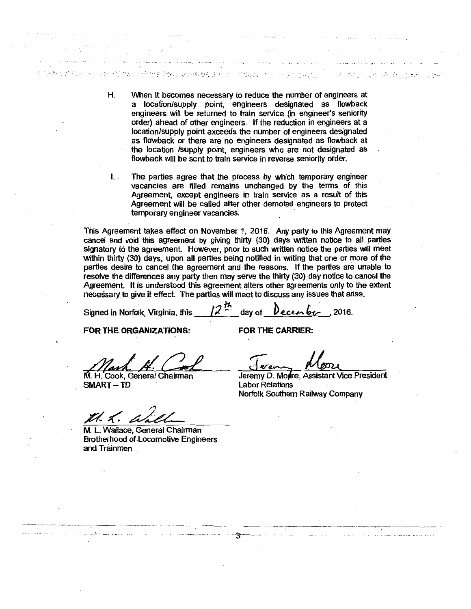H. When it becomes necessary to reduce the number of engineers at a location/supply point, engineers designated as flowback engineers will be returned to train service (in engineer's seniority order) ahead of other engineers. If the reduction in engineers at a location/supply point exceeds the number of engineers designated as flowback or there are no engineers designated as flowback at the location /supply point; engineers who are not designated as flowback will be sent to train service in reverse seniority order.

**的"做"。 ; ... ; ... ; ... ; ... ; ... ; ... ; ... ; ... ; ... ; ... ; ... ; ... ; ... ; ... ; ... ; ... ; ... ; .** 

الهنبداء المرابيب والممتل الميلية اليعتمية فأمحم وتعليمه محمدا

I. . The parties agree that the process by which temporary engineer vacancies are filled remains unchanged by the terms of this Agreement, except engineers in train service as a result of this Agreement will be called after other demoted engineers to protect temporary engineer vacancies.

This Agreement takes effect on November 1, 2016. Any party to this Agreement may cancel and void this agreement by giving thirty (30) days written notice to all parties signatory to the agreement. However, prior to such written notice the parties will meet within thirty (30) days, upon all parties being notified in writing that one or more of the parties desire to cancel the agreement and the reasons. If the parties are unable to resolve the differences any party then may serve the thirty (30) day notice to cancel the Agreement. It is understood this agreement alters other agreements only to the extent necessary to give it effect. The parties will meet to discuss any issues that arise.<br>Signed in Norfolk, Virginia, this  $\frac{1}{2}$   $\frac{h}{2}$  day of  $\theta$  ecember . . 2016.

Signed in Norfolk, Virginia, this

FOR THE ORGANIZATIONS:

FOR THE CARRIER:

M. H. Cook, General Chairman SMART-TD

Z1. Z.

M. L Wallace, General Chairman Brotherhood of .Locomotive Engineers and Trainmen

and a cardial

Jeremy D. Moore, Assistant Vice President Labor Relations Norfolk Southern Railway Company

. . . . . ·~ . *;r* .... •• ; *::·* .··~